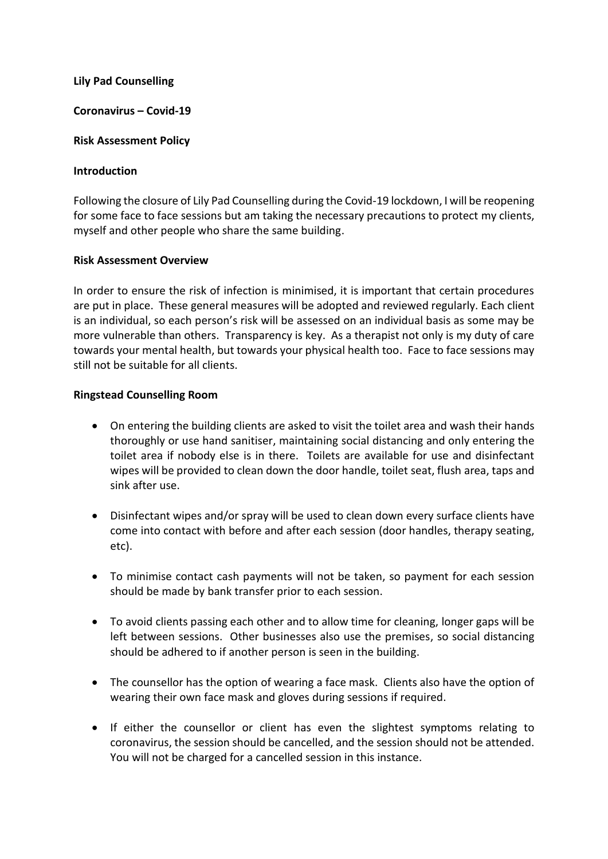# **Lily Pad Counselling**

## **Coronavirus – Covid-19**

## **Risk Assessment Policy**

## **Introduction**

Following the closure of Lily Pad Counselling during the Covid-19 lockdown, I will be reopening for some face to face sessions but am taking the necessary precautions to protect my clients, myself and other people who share the same building.

## **Risk Assessment Overview**

In order to ensure the risk of infection is minimised, it is important that certain procedures are put in place. These general measures will be adopted and reviewed regularly. Each client is an individual, so each person's risk will be assessed on an individual basis as some may be more vulnerable than others. Transparency is key. As a therapist not only is my duty of care towards your mental health, but towards your physical health too. Face to face sessions may still not be suitable for all clients.

## **Ringstead Counselling Room**

- On entering the building clients are asked to visit the toilet area and wash their hands thoroughly or use hand sanitiser, maintaining social distancing and only entering the toilet area if nobody else is in there. Toilets are available for use and disinfectant wipes will be provided to clean down the door handle, toilet seat, flush area, taps and sink after use.
- Disinfectant wipes and/or spray will be used to clean down every surface clients have come into contact with before and after each session (door handles, therapy seating, etc).
- To minimise contact cash payments will not be taken, so payment for each session should be made by bank transfer prior to each session.
- To avoid clients passing each other and to allow time for cleaning, longer gaps will be left between sessions. Other businesses also use the premises, so social distancing should be adhered to if another person is seen in the building.
- The counsellor has the option of wearing a face mask. Clients also have the option of wearing their own face mask and gloves during sessions if required.
- If either the counsellor or client has even the slightest symptoms relating to coronavirus, the session should be cancelled, and the session should not be attended. You will not be charged for a cancelled session in this instance.